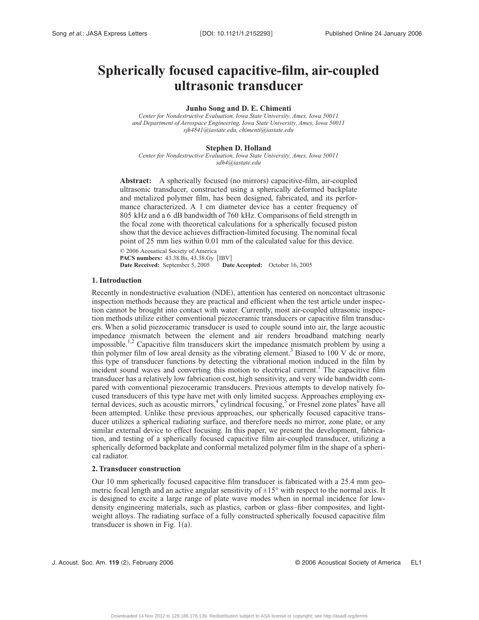# **Spherically focused capacitive-film, air-coupled ultrasonic transducer**

# **Junho Song and D. E. Chimenti**

*Center for Nondestructive Evaluation, Iowa State University, Ames, Iowa 50011 and Department of Aerospace Engineering, Iowa State University, Ames, Iowa 50011 sjh4841@iastate.edu, chimenti@iastate.edu*

# **Stephen D. Holland**

*Center for Nondestructive Evaluation, Iowa State University, Ames, Iowa 50011 sdh4@iastate.edu*

Abstract: A spherically focused (no mirrors) capacitive-film, air-coupled ultrasonic transducer, constructed using a spherically deformed backplate and metalized polymer film, has been designed, fabricated, and its performance characterized. A 1 cm diameter device has a center frequency of 805 kHz and a 6 dB bandwidth of 760 kHz. Comparisons of field strength in the focal zone with theoretical calculations for a spherically focused piston show that the device achieves diffraction-limited focusing. The nominal focal point of 25 mm lies within 0.01 mm of the calculated value for this device.

© 2006 Acoustical Society of America PACS numbers: 43.38.Bs, 43.38.Gy [IBV]<br>Date Received: September 5, 2005 Date **Date Accepted:** October 16, 2005

#### **1. Introduction**

Recently in nondestructive evaluation (NDE), attention has centered on noncontact ultrasonic inspection methods because they are practical and efficient when the test article under inspection cannot be brought into contact with water. Currently, most air-coupled ultrasonic inspection methods utilize either conventional piezoceramic transducers or capacitive film transducers. When a solid piezoceramic transducer is used to couple sound into air, the large acoustic impedance mismatch between the element and air renders broadband matching nearly impossible.<sup>1,2</sup> Capacitive film transducers skirt the impedance mismatch problem by using a thin polymer film of low areal density as the vibrating element.<sup>3</sup> Biased to 100 V dc or more, this type of transducer functions by detecting the vibrational motion induced in the film by incident sound waves and converting this motion to electrical current.<sup>1</sup> The capacitive film transducer has a relatively low fabrication cost, high sensitivity, and very wide bandwidth compared with conventional piezoceramic transducers. Previous attempts to develop natively focused transducers of this type have met with only limited success. Approaches employing external devices, such as acoustic mirrors,<sup>4</sup> cylindrical focusing,<sup>5</sup> or Fresnel zone plates<sup>6</sup> have all been attempted. Unlike these previous approaches, our spherically focused capacitive transducer utilizes a spherical radiating surface, and therefore needs no mirror, zone plate, or any similar external device to effect focusing. In this paper, we present the development, fabrication, and testing of a spherically focused capacitive film air-coupled transducer, utilizing a spherically deformed backplate and conformal metalized polymer film in the shape of a spherical radiator.

# **2. Transducer construction**

Our 10 mm spherically focused capacitive film transducer is fabricated with a 25.4 mm geometric focal length and an active angular sensitivity of  $\pm 15^{\circ}$  with respect to the normal axis. It is designed to excite a large range of plate wave modes when in normal incidence for lowdensity engineering materials, such as plastics, carbon or glass–fiber composites, and lightweight alloys. The radiating surface of a fully constructed spherically focused capacitive film transducer is shown in Fig.  $1(a)$ .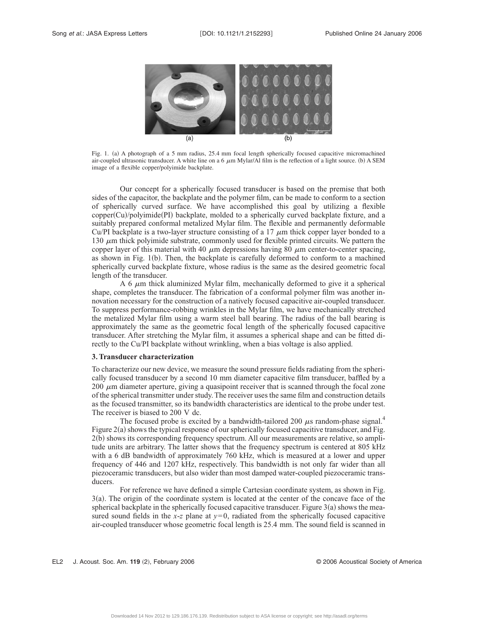

Fig. 1. (a) A photograph of a 5 mm radius, 25.4 mm focal length spherically focused capacitive micromachined air-coupled ultrasonic transducer. A white line on a  $6 \mu m$  Mylar/Al film is the reflection of a light source. (b) A SEM image of a flexible copper/polyimide backplate.

Our concept for a spherically focused transducer is based on the premise that both sides of the capacitor, the backplate and the polymer film, can be made to conform to a section of spherically curved surface. We have accomplished this goal by utilizing a flexible copper(Cu)/polyimide(PI) backplate, molded to a spherically curved backplate fixture, and a suitably prepared conformal metalized Mylar film. The flexible and permanently deformable Cu/PI backplate is a two-layer structure consisting of a 17  $\mu$ m thick copper layer bonded to a 130  $\mu$ m thick polyimide substrate, commonly used for flexible printed circuits. We pattern the copper layer of this material with 40  $\mu$ m depressions having 80  $\mu$ m center-to-center spacing, as shown in Fig. 1(b). Then, the backplate is carefully deformed to conform to a machined spherically curved backplate fixture, whose radius is the same as the desired geometric focal length of the transducer.

A 6  $\mu$ m thick aluminized Mylar film, mechanically deformed to give it a spherical shape, completes the transducer. The fabrication of a conformal polymer film was another innovation necessary for the construction of a natively focused capacitive air-coupled transducer. To suppress performance-robbing wrinkles in the Mylar film, we have mechanically stretched the metalized Mylar film using a warm steel ball bearing. The radius of the ball bearing is approximately the same as the geometric focal length of the spherically focused capacitive transducer. After stretching the Mylar film, it assumes a spherical shape and can be fitted directly to the Cu/PI backplate without wrinkling, when a bias voltage is also applied.

#### **3. Transducer characterization**

To characterize our new device, we measure the sound pressure fields radiating from the spherically focused transducer by a second 10 mm diameter capacitive film transducer, baffled by a 200  $\mu$ m diameter aperture, giving a quasipoint receiver that is scanned through the focal zone of the spherical transmitter under study. The receiver uses the same film and construction details as the focused transmitter, so its bandwidth characteristics are identical to the probe under test. The receiver is biased to 200 V dc.

The focused probe is excited by a bandwidth-tailored 200  $\mu$ s random-phase signal.<sup>4</sup> Figure 2(a) shows the typical response of our spherically focused capacitive transducer, and Fig. 2(b) shows its corresponding frequency spectrum. All our measurements are relative, so amplitude units are arbitrary. The latter shows that the frequency spectrum is centered at 805 kHz with a 6 dB bandwidth of approximately 760 kHz, which is measured at a lower and upper frequency of 446 and 1207 kHz, respectively. This bandwidth is not only far wider than all piezoceramic transducers, but also wider than most damped water-coupled piezoceramic transducers.

For reference we have defined a simple Cartesian coordinate system, as shown in Fig. 3(a). The origin of the coordinate system is located at the center of the concave face of the spherical backplate in the spherically focused capacitive transducer. Figure  $3(a)$  shows the measured sound fields in the  $x-z$  plane at  $y=0$ , radiated from the spherically focused capacitive air-coupled transducer whose geometric focal length is 25.4 mm. The sound field is scanned in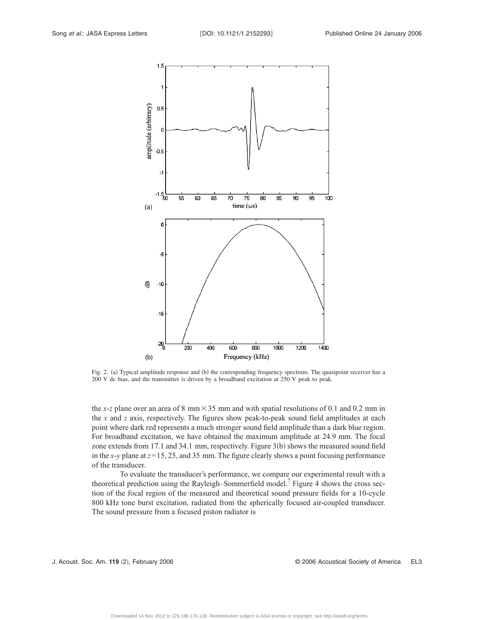

Fig. 2. (a) Typical amplitude response and (b) the corresponding frequency spectrum. The quasipoint receiver has a 200 V dc bias, and the transmitter is driven by a broadband excitation at 250 V peak to peak.

the *x*-*z* plane over an area of 8 mm $\times$  35 mm and with spatial resolutions of 0.1 and 0.2 mm in the *x* and *z* axis, respectively. The figures show peak-to-peak sound field amplitudes at each point where dark red represents a much stronger sound field amplitude than a dark blue region. For broadband excitation, we have obtained the maximum amplitude at 24.9 mm. The focal zone extends from 17.1 and 34.1 mm, respectively. Figure 3(b) shows the measured sound field in the  $x$ -*y* plane at  $z$ = 15, 25, and 35 mm. The figure clearly shows a point focusing performance of the transducer.

To evaluate the transducer's performance, we compare our experimental result with a theoretical prediction using the Rayleigh–Sommerfield model.<sup>7</sup> Figure 4 shows the cross section of the focal region of the measured and theoretical sound pressure fields for a 10-cycle 800 kHz tone burst excitation, radiated from the spherically focused air-coupled transducer. The sound pressure from a focused piston radiator is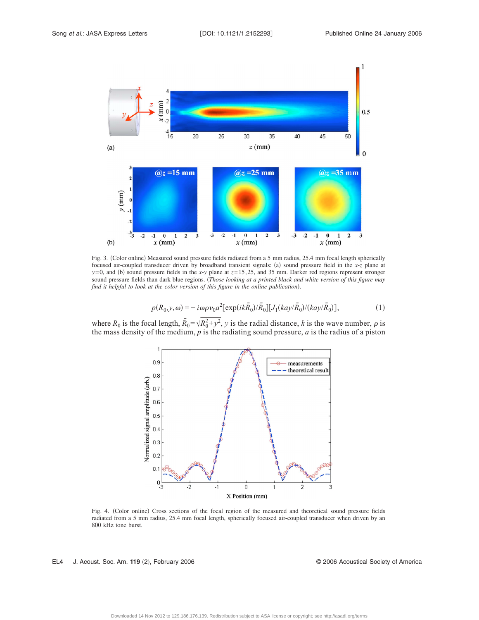

Fig. 3. (Color online) Measured sound pressure fields radiated from a 5 mm radius, 25.4 mm focal length spherically focused air-coupled transducer driven by broadband transient signals: (a) sound pressure field in the *x*-*z* plane at  $y=0$ , and (b) sound pressure fields in the *x*-*y* plane at  $z=15, 25$ , and 35 mm. Darker red regions represent stronger sound pressure fields than dark blue regions. *Those looking at a printed black and white version of this figure may* find it helpful to look at the color version of this figure in the online publication).

$$
p(R_0, y, \omega) = -i\omega\rho\nu_0 a^2 [\exp(ik\bar{R}_0)/\bar{R}_0][J_1(kay/\bar{R}_0)/(kay/\bar{R}_0)],
$$
 (1)

where  $R_0$  is the focal length,  $\bar{R}_0 = \sqrt{R_0^2 + y^2}$ , *y* is the radial distance, *k* is the wave number,  $\rho$  is the mass density of the medium, *p* is the radiating sound pressure, *a* is the radius of a piston



Fig. 4. (Color online) Cross sections of the focal region of the measured and theoretical sound pressure fields radiated from a 5 mm radius, 25.4 mm focal length, spherically focused air-coupled transducer when driven by an 800 kHz tone burst.

EL4 J. Acoust. Soc. Am. **119** 2, February 2006 © 2006 Acoustical Society of America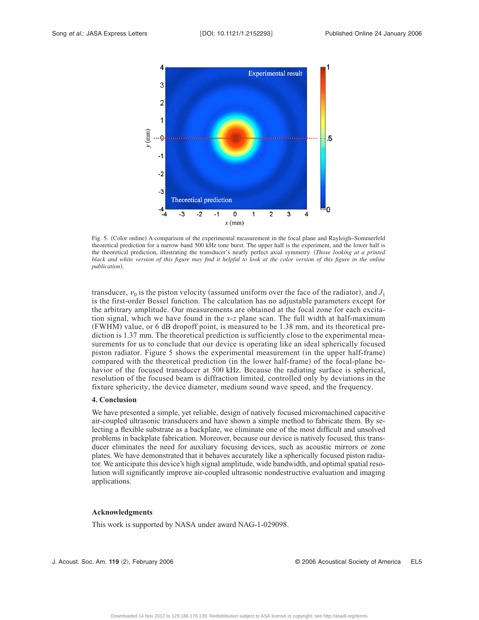

Fig. 5. (Color online) A comparison of the experimental measurement in the focal plane and Rayleigh–Sommerfeld theoretical prediction for a narrow band 500 kHz tone burst. The upper half is the experiment, and the lower half is the theoretical prediction, illustrating the transducer's nearly perfect axial symmetry. *Those looking at a printed black and white version of this figure may find it helpful to look at the color version of this figure in the online* publication).

transducer,  $v_0$  is the piston velocity (assumed uniform over the face of the radiator), and  $J_1$ is the first-order Bessel function. The calculation has no adjustable parameters except for the arbitrary amplitude. Our measurements are obtained at the focal zone for each excitation signal, which we have found in the *x*-*z* plane scan. The full width at half-maximum (FWHM) value, or 6 dB dropoff point, is measured to be 1.38 mm, and its theoretical prediction is 1.37 mm. The theoretical prediction is sufficiently close to the experimental measurements for us to conclude that our device is operating like an ideal spherically focused piston radiator. Figure 5 shows the experimental measurement (in the upper half-frame) compared with the theoretical prediction (in the lower half-frame) of the focal-plane behavior of the focused transducer at 500 kHz. Because the radiating surface is spherical, resolution of the focused beam is diffraction limited, controlled only by deviations in the fixture sphericity, the device diameter, medium sound wave speed, and the frequency.

# **4. Conclusion**

We have presented a simple, yet reliable, design of natively focused micromachined capacitive air-coupled ultrasonic transducers and have shown a simple method to fabricate them. By selecting a flexible substrate as a backplate, we eliminate one of the most difficult and unsolved problems in backplate fabrication. Moreover, because our device is natively focused, this transducer eliminates the need for auxiliary focusing devices, such as acoustic mirrors or zone plates. We have demonstrated that it behaves accurately like a spherically focused piston radiator. We anticipate this device's high signal amplitude, wide bandwidth, and optimal spatial resolution will significantly improve air-coupled ultrasonic nondestructive evaluation and imaging applications.

### **Acknowledgments**

This work is supported by NASA under award NAG-1-029098.